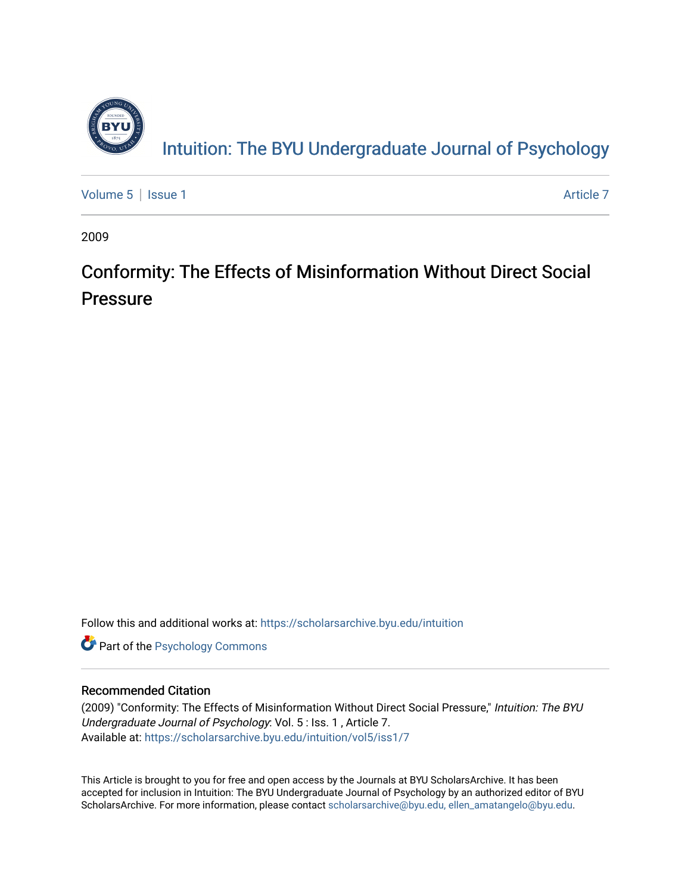

[Volume 5](https://scholarsarchive.byu.edu/intuition/vol5) | [Issue 1](https://scholarsarchive.byu.edu/intuition/vol5/iss1) Article 7

2009

## Conformity: The Effects of Misinformation Without Direct Social Pressure

Follow this and additional works at: [https://scholarsarchive.byu.edu/intuition](https://scholarsarchive.byu.edu/intuition?utm_source=scholarsarchive.byu.edu%2Fintuition%2Fvol5%2Fiss1%2F7&utm_medium=PDF&utm_campaign=PDFCoverPages) 

**Part of the Psychology Commons** 

#### Recommended Citation

(2009) "Conformity: The Effects of Misinformation Without Direct Social Pressure," Intuition: The BYU Undergraduate Journal of Psychology: Vol. 5 : Iss. 1 , Article 7. Available at: [https://scholarsarchive.byu.edu/intuition/vol5/iss1/7](https://scholarsarchive.byu.edu/intuition/vol5/iss1/7?utm_source=scholarsarchive.byu.edu%2Fintuition%2Fvol5%2Fiss1%2F7&utm_medium=PDF&utm_campaign=PDFCoverPages)

This Article is brought to you for free and open access by the Journals at BYU ScholarsArchive. It has been accepted for inclusion in Intuition: The BYU Undergraduate Journal of Psychology by an authorized editor of BYU ScholarsArchive. For more information, please contact [scholarsarchive@byu.edu, ellen\\_amatangelo@byu.edu.](mailto:scholarsarchive@byu.edu,%20ellen_amatangelo@byu.edu)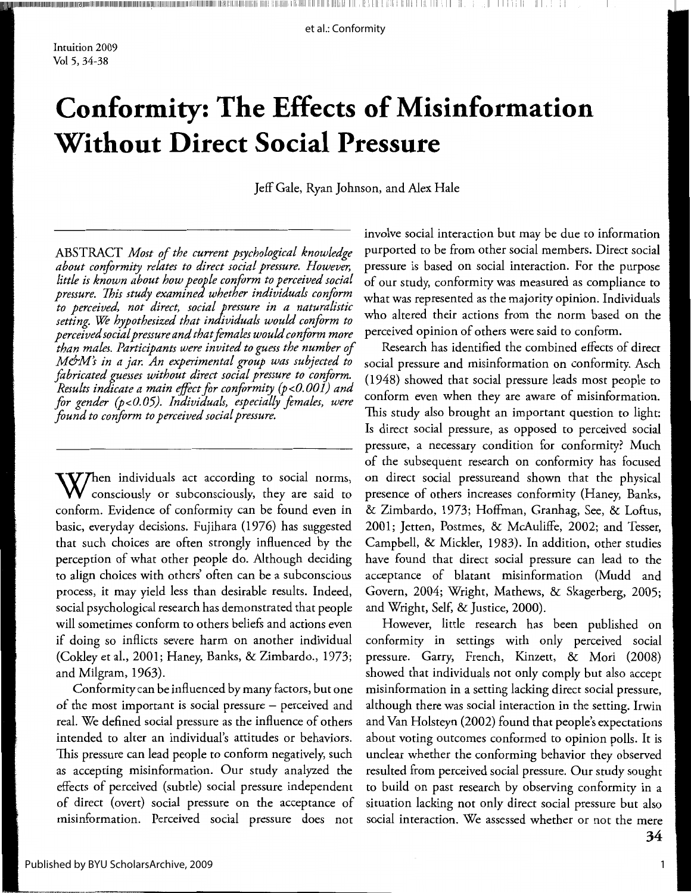Intuition 2009 Vol 5, 34-38

# **Conformity: The Effects of Misinformation Without Direct Social Pressure**

Jeff Gale, Ryan Johnson, and Alex Hale

ABSTRACT Most of the current psychological knowledge about conformity relates to direct social pressure. However, little is known about how people conform to perceived social pressure. This study examined whether individuals conform to perceived, not direct, social pressure in a naturalistic setting. We hypothesized that individuals would conform to perceived social pressure and that females would conform more than males. Participants were invited to guess the number of M&M's in a jar. An experimental group was subjected to fabricated guesses without direct social pressure to conform. Results indicate a main effect for conformity (p<0.001) and for gender (p<0.05). Individuals, especially females, were found to conform to perceived social pressure.

W/hen individuals act according to social norms, consciously or subconsciously, they are said to conform. Evidence of conformity can be found even in basic, everyday decisions. Fujihara (1976) has suggested that such choices are often strongly influenced by the perception of what other people do. Although deciding to align choices with others' often can be a subconscious process, it may yield less than desirable results. Indeed, social psychological research has demonstrated that people will sometimes conform to others beliefs and actions even if doing so inflicts severe harm on another individual (Cokley et al., 2001; Haney, Banks, & Zimbardo., 1973; and Milgram, 1963).

Conformity can be influenced by many factors, but one of the most important is social pressure - perceived and real. We defined social pressure as the influence of others intended to alter an individual's attitudes or behaviors. This pressure can lead people to conform negatively, such as accepting misinformation. Our study analyzed the effects of perceived (subtle) social pressure independent of direct (overt) social pressure on the acceptance of misinformation. Perceived social pressure does not

involve social interaction but may be due to information purported to be from other social members. Direct social pressure is based on social interaction. For the purpose of our study, conformity was measured as compliance to what was represented as the majority opinion. Individuals who altered their actions from the norm based on the perceived opinion of others were said to conform.

Research has identified the combined effects of direct social pressure and misinformation on conformity. Asch (1948) showed that social pressure leads most people to conform even when they are aware of misinformation. This study also brought an important question to light: Is direct social pressure, as opposed to perceived social pressure, a necessary condition for conformity? Much of the subsequent research on conformity has focused on direct social pressureand shown that the physical presence of others increases conformity (Haney, Banks, & Zimbardo, 1973; Hoffman, Granhag, See, & Loftus, 2001; Jetten, Postmes, & McAuliffe, 2002; and Tesser, Campbell, & Mickler, 1983). In addition, other studies have found that direct social pressure can lead to the acceptance of blatant misinformation (Mudd and Govern, 2004; Wright, Mathews, & Skagerberg, 2005; and Wright, Self, & Justice, 2000).

However, little research has been published on conformity in settings with only perceived social pressure. Garry, French, Kinzett, & Mori (2008) showed that individuals not only comply but also accept misinformation in a setting lacking direct social pressure, although there was social interaction in the setting. Irwin and Van Holsteyn (2002) found that people's expectations about voting outcomes conformed to opinion polls. It is unclear whether the conforming behavior they observed resulted from perceived social pressure. Our study sought to build on past research by observing conformity in a situation lacking not only direct social pressure but also social interaction. We assessed whether or not the mere 34

 $\mathbf{1}$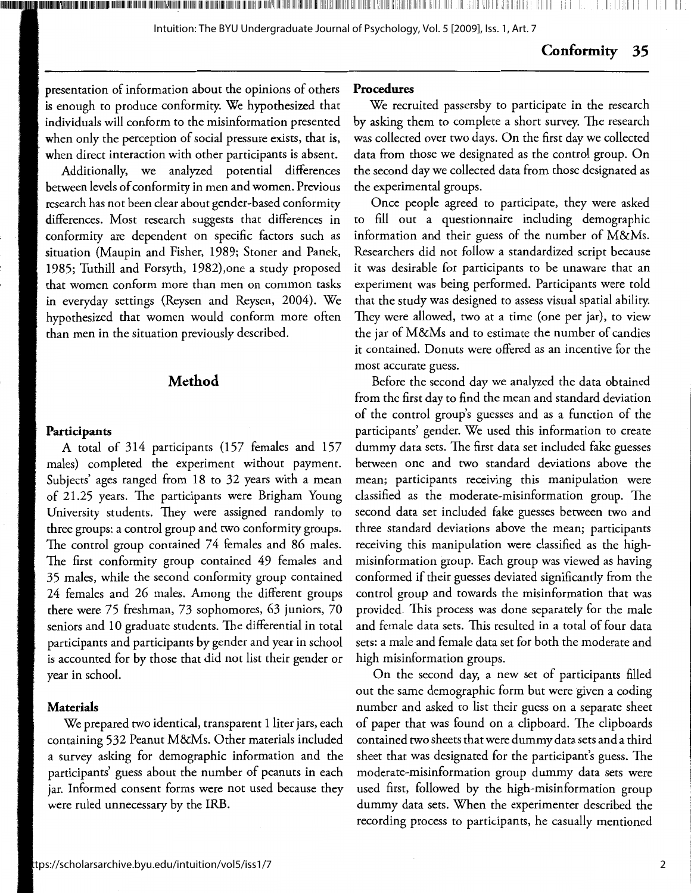#### Conformity 35

presentation of information about the opinions of others is enough to produce conformity. We hypothesized that individuals will conform to the misinformation presented when only the perception of social pressure exists, that is, when direct interaction with other participants is absent.

Additionally, we analyzed potential differences between levels of conformity in men and women. Previous research has not been clear about gender-based conformity differences. Most research suggests that differences in conformity are dependent on specific factors such as situation (Maupin and Fisher, 1989; Stoner and Panek, 1985; Tuthill and Forsyth, 1982), one a study proposed that women conform more than men on common tasks in everyday settings (Reysen and Reysen, 2004). We hypothesized that women would conform more often than men in the situation previously described.

#### Method

#### Participants

A total of 314 participants (157 females and 157 males) completed the experiment without payment. Subjects' ages ranged from 18 to 32 years with a mean of 21.25 years. The participants were Brigham Young University students. They were assigned randomly to three groups: a control group and two conformity groups. The control group contained 74 females and 86 males. The first conformity group contained 49 females and 35 males, while the second conformity group contained 24 females and 26 males. Among the different groups there were 75 freshman, 73 sophomores, 63 juniors, 70 seniors and 10 graduate students. The differential in total participants and participants by gender and year in school is accounted for by those that did not list their gender or year in school.

#### Materials

We prepared two identical, transparent 1 liter jars, each containing 532 Peanut M&Ms. Other materials included a survey asking for demographic information and the participants' guess about the number of peanuts in each jar. Informed consent forms were not used because they were ruled unnecessary by the IRB.

#### Procedures

We recruited passersby to participate in the research by asking them to complete a short survey. The research was collected over two days. On the first day we collected data from those we designated as the control group. On the second day we collected data from those designated as the experimental groups.

Once people agreed to participate, they were asked to fill out a questionnaire including demographic information and their guess of the number of M&Ms. Researchers did not follow a standardized script because it was desirable for participants to be unaware that an experiment was being performed. Participants were told that the study was designed to assess visual spatial ability. They were allowed, two at a time (one per jar), to view the jar of M&Ms and to estimate the number of candies it contained. Donuts were offered as an incentive for the most accurate guess.

Before the second day we analyzed the data obtained from the first day to find the mean and standard deviation of the control group's guesses and as a function of the participants' gender. We used this information to create dummy data sets. The first data set included fake guesses between one and two standard deviations above the mean; participants receiving this manipulation were classified as the moderate-misinformation group. The second data set included fake guesses between two and three standard deviations above the mean; participants receiving this manipulation were classified as the highmisinformation group. Each group was viewed as having conformed if their guesses deviated significantly from the control group and towards the misinformation that was provided. This process was done separately for the male and female data sets. This resulted in a total of four data sets: a male and female data set for both the moderate and high misinformation groups.

On the second day, a new set of participants filled out the same demographic form but were given a coding number and asked to list their guess on a separate sheet of paper that was found on a clipboard. The clipboards contained two sheets that were dummy data sets and a third sheet that was designated for the participant's guess. The moderate-misinformation group dummy data sets were used first, followed by the high-misinformation group dummy data sets. When the experimenter described the recording process to participants, he casually mentioned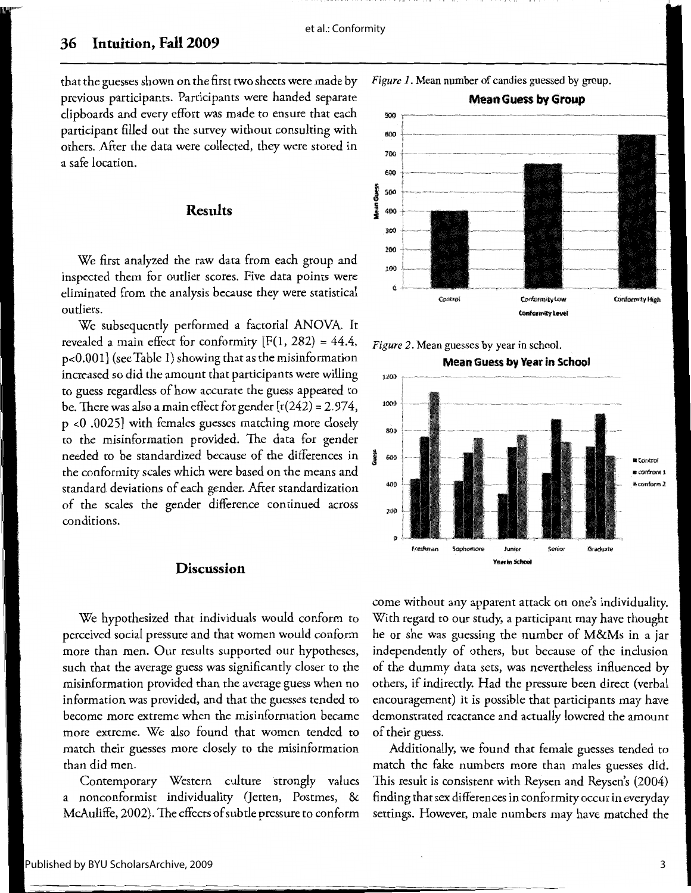900 800 ~,-,-,\_,,, 700 6-00

800

400

zoo

(J

Freshman 5opho

J 000

#### **36 Intuition, Fall 2009**

that the guesses shown on the first two sheets were made by previous participants. Participants were handed separate clipboards and every effort was made to ensure that each participant filled out the survey without consulting with others. After the data were collected, they were stored in a safe location.

#### **Results**

We first analyzed the raw data from each group and inspected them for outlier scores. Five data points were eliminated from the analysis because they were statistical outliers.

We subsequently performed a factorial ANOVA. It revealed a main effect for conformity  $[F(1, 282) = 44.4,$ p<0.001] (see Table 1) showing that as the misinformation increased so did the amount that participants were willing to guess regardless of how accurate the guess appeared to be. There was also a main effect for gender [t(242) = 2.974, p <0 .0025] with females guesses matching more closely to the misinformation provided. The data for gender needed to be standardized because of the differences in the conformity scales which were based on the means and standard deviations of each gender. After standardization of the scales the gender difference continued across conditions.

#### **Discussion**

We hypothesized that individuals would conform to perceived social pressure and that women would conform more than men. Our results supported our hypotheses, such that the average guess was significantly closer to the misinformation provided than the average guess when no information was provided, and that the guesses tended to become more extreme when the misinformation became more extreme. We also found that women tended to match their guesses more closely to the misinformation than did men.

Contemporary Western culture strongly values a nonconformist individuality Qetten, Postmes, & McAuliffe, 2002). The effects of subtle pressure to conform



1,1 llli Ill ,I! 11 11 <sup>1</sup>

1 i I' II I

**Mean Guess by Group** 

,~=~

*Figure 1.* Mean number of candies guessed by group.

come without any apparent attack on one's individuality. With regard to our study, a participant may have thought he or she was guessing the number of M&Ms in a jar independently of others, but because of the inclusion of the dummy data sets, was nevertheless influenced by others, if indirectly. Had the pressure been direct (verbal encouragement) it is possible that participants may have demonstrated reactance and actually lowered the amount of their guess.

Year in School

Graduate

•Control \* confrom 1 »ronform2:

Additionally, we found that female guesses tended to match the fake numbers more than males guesses did. This result is consistent with Reysen and Reysen's (2004) finding that sex differences inconformity occur in everyday settings. However, male numbers may have matched the

#### Published by BYU ScholarsArchive, 2009

3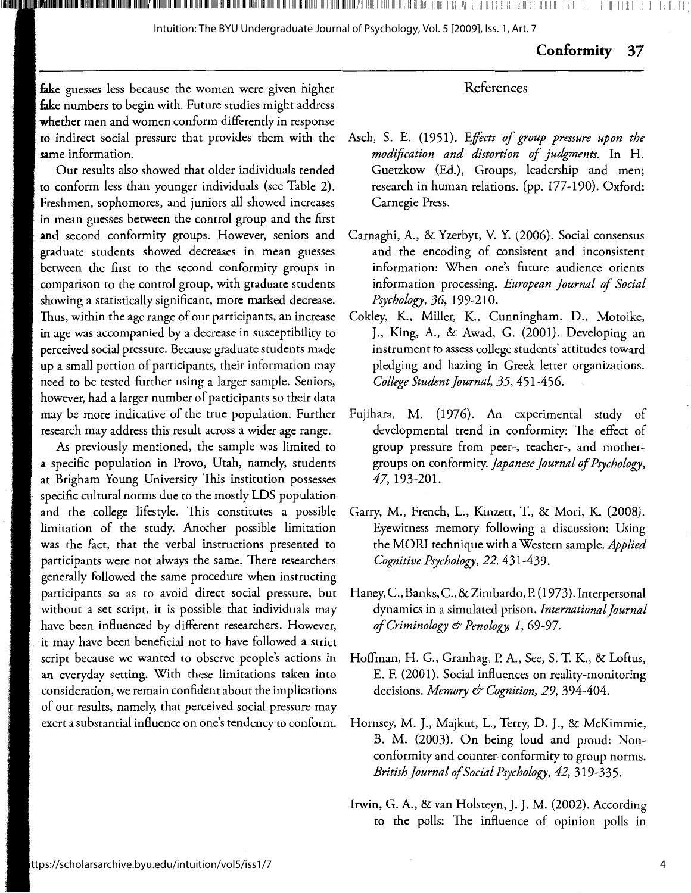## **Conformity** 37

#### fake guesses less because the women were given higher fake numbers to begin with. Future studies might address whether men and women conform differently in response **to** indirect social pressure that provides them with the **sa**me information.

Our results also showed that older individuals tended **to** conform less than younger individuals (see Table 2). Freshmen, sophomores, and juniors all showed increases in mean guesses between the control group and the first **and** second conformity groups. However, seniors and graduate students showed decreases in mean guesses between the first to the second conformity groups in comparison to the control group, with graduate students showing a statistically significant, more marked decrease. Thus, within the age range of our participants, an increase in age was accompanied by a decrease in susceptibility to perceived social pressure. Because graduate students made **up** a small portion of participants, their information may need to be tested further using a larger sample. Seniors, however, had a larger number of participants so their data may be more indicative of the true population. Further research may address this result across a wider age range.

*As* previously mentioned, the sample was limited to **<sup>a</sup>**specific population in Provo, Utah, namely, students **at** Brigham Young University This institution possesses specific cultural norms due to the mostly LDS population and the college lifestyle. This constitutes a possible limitation of the study. Another possible limitation was the fact, that the verbal instructions presented to participants were not always the same. There researchers generally followed the same procedure when instructing participants so as to avoid direct social pressure, but without a set script, it is possible that individuals may have been influenced by different researchers. However, it may have been beneficial not to have followed a strict script because we wanted to observe people's actions in an everyday setting. With these limitations taken into consideration, we remain confident about the implications of our results, namely, that perceived social pressure may exert a substantial influence on one's tendency to conform.

## Asch, S. E. {1951). *Effects of group pressure upon the modification and distortion of judgments.* In H. Guetzkow (Ed.), Groups, leadership and men; research in human relations. (pp. 177-190). Oxford: Carnegie Press.

References

- Carnaghi, A., & Yzerbyt, V. Y. {2006). Social consensus and the encoding of consistent and inconsistent information: When one's future audience orients information processing. *European journal of Social Psychology, 36,* 199-210.
- Cokley, K., Miller, K., Cunningham, D., Motoike, J., King, A., & Awad, G. {2001). Developing an instrument to assess college students' attitudes toward pledging and hazing in Greek letter organizations. *College Student journal, 35,* 451-456.
- Fujihara, M. (1976). An experimental study of developmental trend in conformity: The effect of group pressure from peer-, teacher-, and mothergroups on conformity. *Japanese journal of Psychology,*  47, 193-201.
- Garry, M., French, L., Kinzett, T., & Mori, K. {2008). Eyewitness memory following a discussion: Using the MORI technique with a Western sample. *Applied Cognitive Psychology, 22,* 431-439.
- Haney, C., Banks, C., & Zimbardo, P. ( 1973). Interpersonal dynamics in a simulated prison. *International journal of Criminology & Penology, 1,* 69-97.
- Hoffman, H. G., Granhag, P. A., See, S. T. K., & Loftus, E. F. (2001). Social influences on reality-monitoring decisions. *Memory & Cognition, 29,* 394-404.
- Hornsey, M. J., Majkut, L., Terry, D. J., & McKimmie, B. M. (2003). On being loud and proud: Nonconformity and counter-conformity to group norms. *British Journal of Social Psychology, 42,* 319-335.
- Irwin, G. A., & van Holsteyn, J. J.M. (2002). According to the polls: The influence of opinion polls in